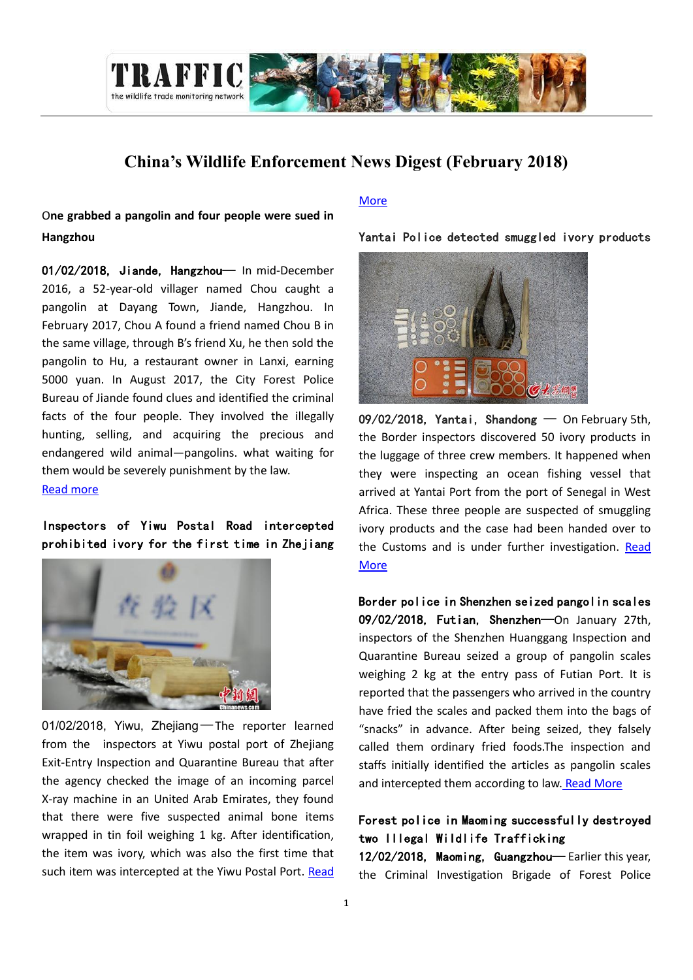

# **China's Wildlife Enforcement News Digest (February 2018)**

O**ne grabbed a pangolin and four people were sued in Hangzhou**

01/02/2018, Jiande, Hangzhou— In mid-December 2016, a 52-year-old villager named Chou caught a pangolin at Dayang Town, Jiande, Hangzhou. In February 2017, Chou A found a friend named Chou B in the same village, through B's friend Xu, he then sold the pangolin to Hu, a restaurant owner in Lanxi, earning 5000 yuan. In August 2017, the City Forest Police Bureau of Jiande found clues and identified the criminal facts of the four people. They involved the illegally hunting, selling, and acquiring the precious and endangered wild animal—pangolins. what waiting for them would be severely punishment by the law. [Read more](http://news.163.com/18/0201/04/D9HK7975000187VI.html)

Inspectors of Yiwu Postal Road intercepted prohibited ivory for the first time in Zhejiang



01/02/2018, Yiwu, Zhejiang—The reporter learned from the inspectors at Yiwu postal port of Zhejiang Exit-Entry Inspection and Quarantine Bureau that after the agency checked the image of an incoming parcel X-ray machine in an United Arab Emirates, they found that there were five suspected animal bone items wrapped in tin foil weighing 1 kg. After identification, the item was ivory, which was also the first time that such item was intercepted at the Yiwu Postal Port. Read

#### [More](http://news.sina.com.cn/o/2018-02-01/doc-ifyremfz3412814.shtml)

Yantai Police detected smuggled ivory products



09/02/2018, Yantai, Shandong — On February 5th, the Border inspectors discovered 50 ivory products in the luggage of three crew members. It happened when they were inspecting an ocean fishing vessel that arrived at Yantai Port from the port of Senegal in West Africa. These three people are suspected of smuggling ivory products and the case had been handed over to the Customs and is under further investigation. [Read](http://yantai.dzwww.com/xinwen/ytxw/ytsh/201802/t20180209_16365749.htm)  **[More](http://yantai.dzwww.com/xinwen/ytxw/ytsh/201802/t20180209_16365749.htm)** 

Border police in Shenzhen seized pangolin scales 09/02/2018, Futian, Shenzhen—On January 27th, inspectors of the Shenzhen Huanggang Inspection and Quarantine Bureau seized a group of pangolin scales weighing 2 kg at the entry pass of Futian Port. It is reported that the passengers who arrived in the country have fried the scales and packed them into the bags of "snacks" in advance. After being seized, they falsely called them ordinary fried foods.The inspection and staffs initially identified the articles as pangolin scales and intercepted them according to law. [Read More](http://www.cqn.com.cn/zggmsb/content/2018-02/09/content_5431621.htm)

# Forest police in Maoming successfully destroyed two Illegal Wildlife Trafficking

12/02/2018, Maoming, Guangzhou— Earlier this year, the Criminal Investigation Brigade of Forest Police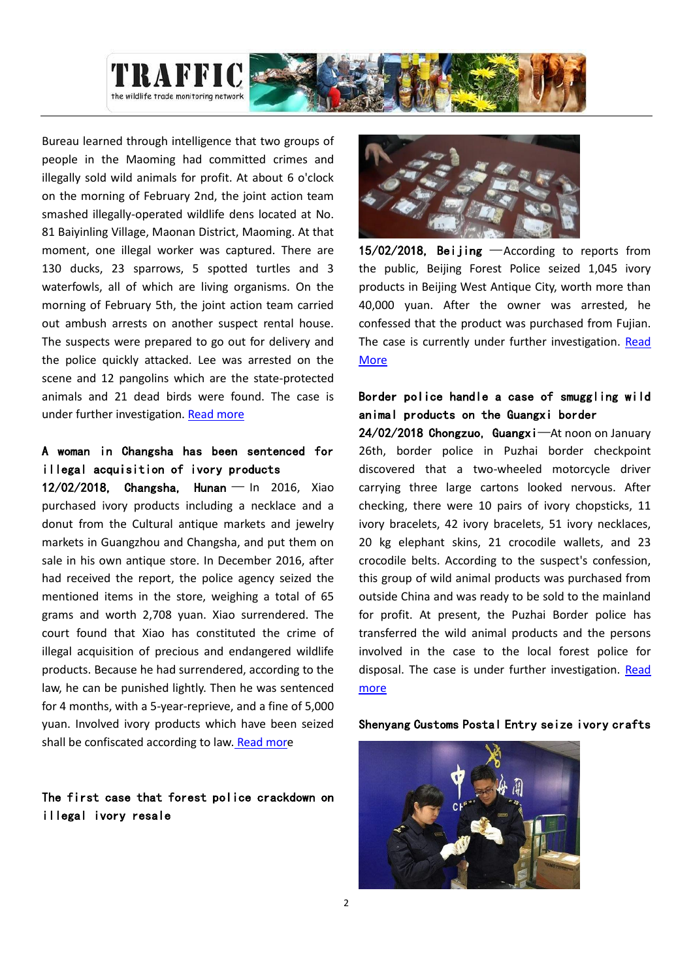

Bureau learned through intelligence that two groups of people in the Maoming had committed crimes and illegally sold wild animals for profit. At about 6 o'clock on the morning of February 2nd, the joint action team smashed illegally-operated wildlife dens located at No. 81 Baiyinling Village, Maonan District, Maoming. At that moment, one illegal worker was captured. There are 130 ducks, 23 sparrows, 5 spotted turtles and 3 waterfowls, all of which are living organisms. On the morning of February 5th, the joint action team carried out ambush arrests on another suspect rental house. The suspects were prepared to go out for delivery and the police quickly attacked. Lee was arrested on the scene and 12 pangolins which are the state-protected animals and 21 dead birds were found. The case is under further investigation. [Read more](http://news.sina.com.cn/c/2018-02-12/doc-ifyrkrva7876602.shtml)

## A woman in Changsha has been sentenced for illegal acquisition of ivory products

12/02/2018, Changsha, Hunan — In 2016, Xiao purchased ivory products including a necklace and a donut from the Cultural antique markets and jewelry markets in Guangzhou and Changsha, and put them on sale in his own antique store. In December 2016, after had received the report, the police agency seized the mentioned items in the store, weighing a total of 65 grams and worth 2,708 yuan. Xiao surrendered. The court found that Xiao has constituted the crime of illegal acquisition of precious and endangered wildlife products. Because he had surrendered, according to the law, he can be punished lightly. Then he was sentenced for 4 months, with a 5-year-reprieve, and a fine of 5,000 yuan. Involved ivory products which have been seized shall be confiscated according to law. [Read more](http://www.efaw.cn/view.php?tid=11852&cid=12)

### The first case that forest police crackdown on illegal ivory resale



15/02/2018, Beijing —According to reports from the public, Beijing Forest Police seized 1,045 ivory products in Beijing West Antique City, worth more than 40,000 yuan. After the owner was arrested, he confessed that the product was purchased from Fujian. The case is currently under further investigation. Read [More](http://news.cctv.com/2018/02/25/VIDEoM6DlwiccggEDMHQfDZS180225.shtml)

### Border police handle a case of smuggling wild animal products on the Guangxi border

24/02/2018 Chongzuo, Guangxi—At noon on January 26th, border police in Puzhai border checkpoint discovered that a two-wheeled motorcycle driver carrying three large cartons looked nervous. After checking, there were 10 pairs of ivory chopsticks, 11 ivory bracelets, 42 ivory bracelets, 51 ivory necklaces, 20 kg elephant skins, 21 crocodile wallets, and 23 crocodile belts. According to the suspect's confession, this group of wild animal products was purchased from outside China and was ready to be sold to the mainland for profit. At present, the Puzhai Border police has transferred the wild animal products and the persons involved in the case to the local forest police for disposal. The case is under further investigation. [Read](http://www.legaldaily.com.cn/police_and_frontier-defence/content/2018-02/24/content_7479975.htm?node=23298)  [more](http://www.legaldaily.com.cn/police_and_frontier-defence/content/2018-02/24/content_7479975.htm?node=23298)

#### Shenyang Customs Postal Entry seize ivory crafts